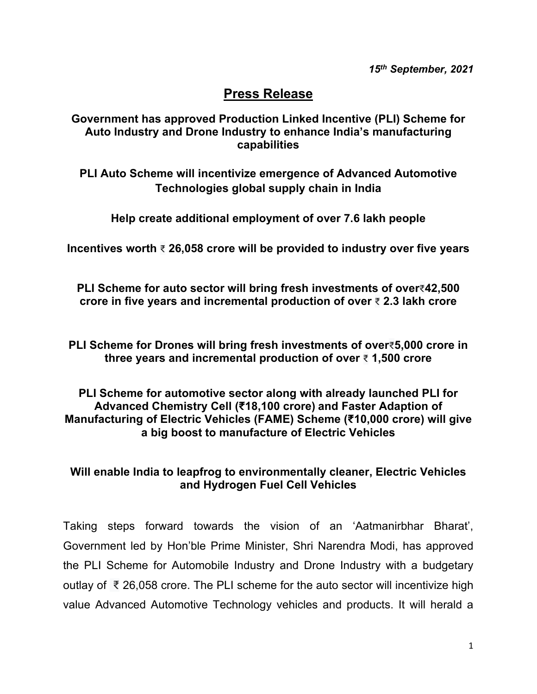## **Press Release**

## **Government has approved Production Linked Incentive (PLI) Scheme for Auto Industry and Drone Industry to enhance India's manufacturing capabilities**

**PLI Auto Scheme will incentivize emergence of Advanced Automotive Technologies global supply chain in India**

**Help create additional employment of over 7.6 lakh people**

**Incentives worth** ₹ **26,058 crore will be provided to industry over five years** 

**PLI Scheme for auto sector will bring fresh investments of over**₹**42,500 crore in five years and incremental production of over** ₹ **2.3 lakh crore**

**PLI Scheme for Drones will bring fresh investments of over**₹**5,000 crore in three years and incremental production of over** ₹ **1,500 crore**

## **PLI Scheme for automotive sector along with already launched PLI for Advanced Chemistry Cell (₹18,100 crore) and Faster Adaption of Manufacturing of Electric Vehicles (FAME) Scheme (₹10,000 crore) will give a big boost to manufacture of Electric Vehicles**

## **Will enable India to leapfrog to environmentally cleaner, Electric Vehicles and Hydrogen Fuel Cell Vehicles**

Taking steps forward towards the vision of an 'Aatmanirbhar Bharat', Government led by Hon'ble Prime Minister, Shri Narendra Modi, has approved the PLI Scheme for Automobile Industry and Drone Industry with a budgetary outlay of ₹ 26,058 crore. The PLI scheme for the auto sector will incentivize high value Advanced Automotive Technology vehicles and products. It will herald a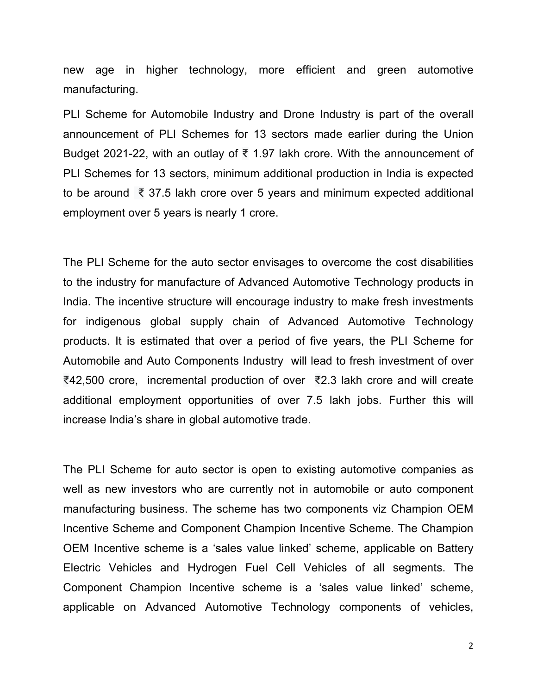new age in higher technology, more efficient and green automotive manufacturing.

PLI Scheme for Automobile Industry and Drone Industry is part of the overall announcement of PLI Schemes for 13 sectors made earlier during the Union Budget 2021-22, with an outlay of ₹ 1.97 lakh crore. With the announcement of PLI Schemes for 13 sectors, minimum additional production in India is expected to be around ₹ 37.5 lakh crore over 5 years and minimum expected additional employment over 5 years is nearly 1 crore.

The PLI Scheme for the auto sector envisages to overcome the cost disabilities to the industry for manufacture of Advanced Automotive Technology products in India. The incentive structure will encourage industry to make fresh investments for indigenous global supply chain of Advanced Automotive Technology products. It is estimated that over a period of five years, the PLI Scheme for Automobile and Auto Components Industry will lead to fresh investment of over ₹42,500 crore, incremental production of over ₹2.3 lakh crore and will create additional employment opportunities of over 7.5 lakh jobs. Further this will increase India's share in global automotive trade.

The PLI Scheme for auto sector is open to existing automotive companies as well as new investors who are currently not in automobile or auto component manufacturing business. The scheme has two components viz Champion OEM Incentive Scheme and Component Champion Incentive Scheme. The Champion OEM Incentive scheme is a 'sales value linked' scheme, applicable on Battery Electric Vehicles and Hydrogen Fuel Cell Vehicles of all segments. The Component Champion Incentive scheme is a 'sales value linked' scheme, applicable on Advanced Automotive Technology components of vehicles,